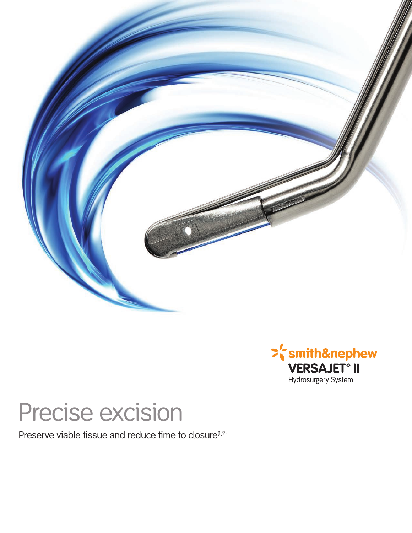



# Precise excision

Preserve viable tissue and reduce time to closure<sup>(1,2)</sup>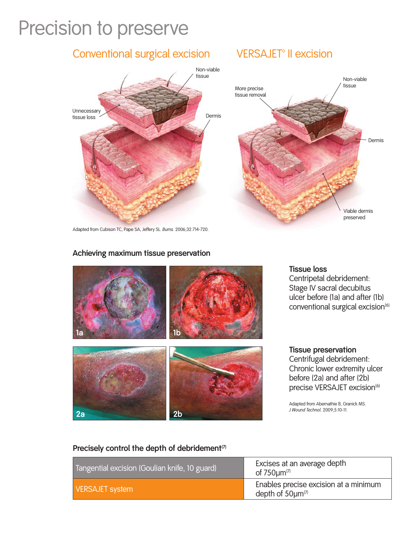# Precision to preserve

### Non-viable tissue Non-viable tissue Dermis More precise tissue removal Viable dermis **Unnecessary** tissue loss Conventional surgical excision VERSAJET<sup>®</sup> II excision Dermis

Adapted from Cubison TC, Pape SA, Jeffery SL. *Burns*. 2006;32:714-720.

#### **Achieving maximum tissue preservation**



**Tissue loss**

Centripetal debridement: Stage IV sacral decubitus ulcer before (1a) and after (1b) conventional surgical excision<sup>(6)</sup>

preserved

#### **Tissue preservation**

Centrifugal debridement: Chronic lower extremity ulcer before (2a) and after (2b) precise VERSAJET excision<sup>(6)</sup>

Adapted from Abernathie B, Granick MS.<br>J Wound Technol. 2009;5:10-11.

#### Precisely control the depth of debridement<sup>(7)</sup>

| Tangential excision (Goulian knife, 10 guard) | Excises at an average depth<br>of $750 \mu m^{(7)}$              |
|-----------------------------------------------|------------------------------------------------------------------|
| <b>VERSAJET system</b>                        | Enables precise excision at a minimum<br>depth of $50 \mu m^{7}$ |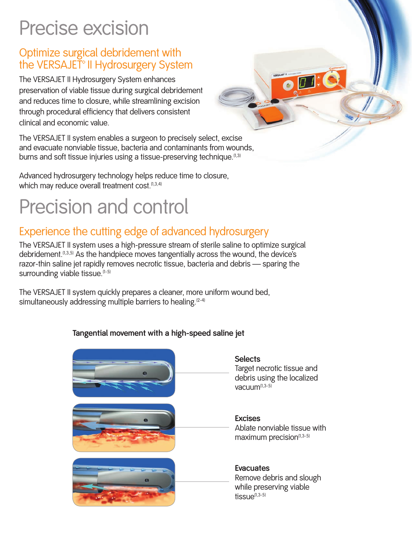# Precise excision

### Optimize surgical debridement with the VERSAJET<sup>®</sup> II Hydrosurgery System

The VERSAJET II Hydrosurgery System enhances preservation of viable tissue during surgical debridement and reduces time to closure, while streamlining excision through procedural efficiency that delivers consistent clinical and economic value.

The VERSAJET II system enables a surgeon to precisely select, excise and evacuate nonviable tissue, bacteria and contaminants from wounds, burns and soft tissue injuries using a tissue-preserving technique.<sup>(1,3)</sup>

Advanced hydrosurgery technology helps reduce time to closure, which may reduce overall treatment cost.<sup>(1,3,4)</sup>

# Precision and control

### Experience the cutting edge of advanced hydrosurgery

The VERSAJET II system uses a high-pressure stream of sterile saline to optimize surgical debridement.<sup>(1,3,5)</sup> As the handpiece moves tangentially across the wound, the device's razor-thin saline jet rapidly removes necrotic tissue, bacteria and debris — sparing the surrounding viable tissue. (1-5)

The VERSAJET II system quickly prepares a cleaner, more uniform wound bed, simultaneously addressing multiple barriers to healing.<sup>[2-4]</sup>

### **Tangential movement with a high-speed saline jet**



 $\overline{\mathbf{O}}$   $\overline{\mathbf{D}}$   $\mathbf{I}$  : (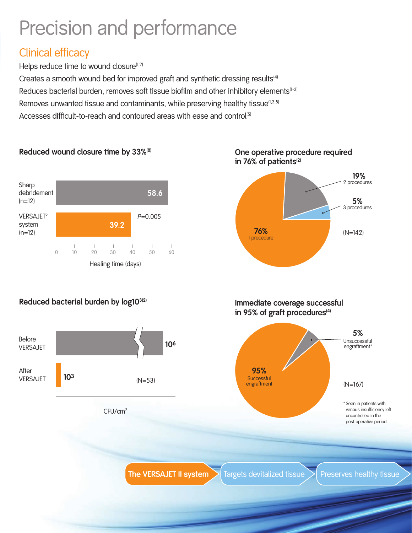# Precision and performance

### Clinical efficacy

Helps reduce time to wound closure<sup>(1,2)</sup>

**Reduced wound closure time by 33%(8)**

Creates a smooth wound bed for improved graft and synthetic dressing results<sup>(4)</sup> Reduces bacterial burden, removes soft tissue biofilm and other inhibitory elements<sup>[1-3]</sup> Removes unwanted tissue and contaminants, while preserving healthy tissue<sup>[1,3,5]</sup>

Accesses difficult-to-reach and contoured areas with ease and control<sup>(5)</sup>



**Reduced bacterial burden by log103(2)**



### **One operative procedure required**  in 76% of patients<sup>(2)</sup>

**76%** (N=142)

**19%** 2 procedures

**5%** 3 procedures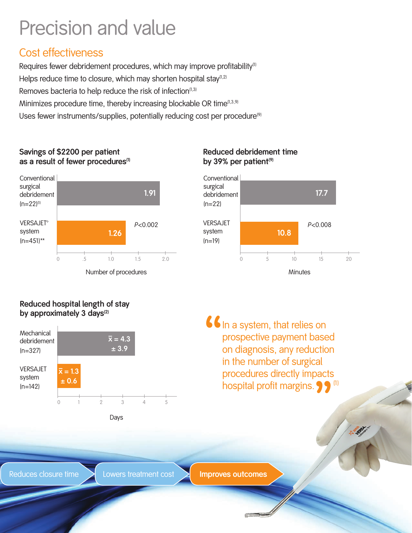# Precision and value

### Cost effectiveness

Requires fewer debridement procedures, which may improve profitability<sup>(1)</sup> Helps reduce time to closure, which may shorten hospital stay<sup>(1,2)</sup> Removes bacteria to help reduce the risk of infection<sup> $(1,3)$ </sup> Minimizes procedure time, thereby increasing blockable OR time<sup>(1,3,9)</sup> Uses fewer instruments/supplies, potentially reducing cost per procedure<sup>(9)</sup>

#### **Savings of \$2200 per patient**  as a result of fewer procedures<sup>(1)</sup>



Number of procedures

### **Reduced debridement time**  by 39% per patient<sup>(9)</sup>



### **Reduced hospital length of stay by approximately 3 days(2)**



" In a system, that relies on prospective payment based on diagnosis, any reduction in the number of surgical procedures directly impacts hospital profit margins.  $\bullet$   $\bullet$   $\bullet$ 

Days

Reduces closure time  $\longrightarrow$  Lowers treatment cost  $\longrightarrow$  **Improves outcomes**